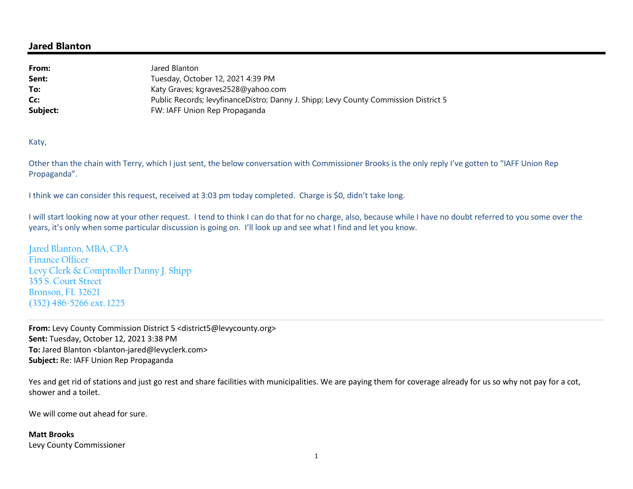## **Jared Blanton**

| From:    | Jared Blanton                                                                        |
|----------|--------------------------------------------------------------------------------------|
| Sent:    | Tuesday, October 12, 2021 4:39 PM                                                    |
| To:      | Katy Graves; kgraves2528@yahoo.com                                                   |
| Cc:      | Public Records; levyfinanceDistro; Danny J. Shipp; Levy County Commission District 5 |
| Subject: | FW: IAFF Union Rep Propaganda                                                        |

Katy,

Other than the chain with Terry, which I just sent, the below conversation with Commissioner Brooks is the only reply I've gotten to "IAFF Union Rep Propaganda".

I think we can consider this request, received at 3:03 pm today completed. Charge is \$0, didn't take long.

I will start looking now at your other request. I tend to think I can do that for no charge, also, because while I have no doubt referred to you some over the years, it's only when some particular discussion is going on. I'll look up and see what I find and let you know.

Jared Blanton, MBA, CPA Finance Officer Levy Clerk & Comptroller Danny J. Shipp 355 S. Court Street Bronson, FL 32621 (352) 486-5266 ext. 1225

**From:** Levy County Commission District 5 <district5@levycounty.org> **Sent:** Tuesday, October 12, 2021 3:38 PM To: Jared Blanton <br />blanton-jared@levyclerk.com> **Subject:** Re: IAFF Union Rep Propaganda

Yes and get rid of stations and just go rest and share facilities with municipalities. We are paying them for coverage already for us so why not pay for a cot, shower and a toilet.

We will come out ahead for sure.

## **Matt Brooks**

Levy County Commissioner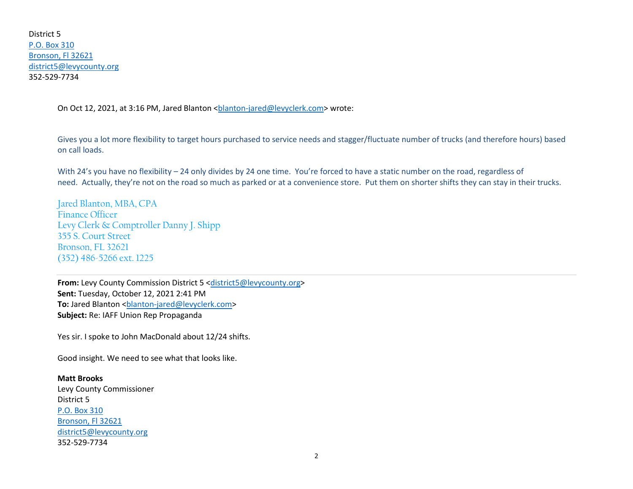District 5 P.O. Box 310 Bronson, Fl 32621 district5@levycounty.org352-529-7734

On Oct 12, 2021, at 3:16 PM, Jared Blanton <br/>blanton-jared@levyclerk.com> wrote:

Gives you a lot more flexibility to target hours purchased to service needs and stagger/fluctuate number of trucks (and therefore hours) based on call loads.

With 24's you have no flexibility – 24 only divides by 24 one time. You're forced to have a static number on the road, regardless of need. Actually, they're not on the road so much as parked or at a convenience store. Put them on shorter shifts they can stay in their trucks.

Jared Blanton, MBA, CPAFinance Officer Levy Clerk & Comptroller Danny J. Shipp355 S. Court Street Bronson, FL 32621(352) 486-5266 ext. 1225

**From:** Levy County Commission District 5 <district5@levycounty.org> **Sent:** Tuesday, October 12, 2021 2:41 PM To: Jared Blanton <br />blanton-jared@levyclerk.com> **Subject:** Re: IAFF Union Rep Propaganda

Yes sir. I spoke to John MacDonald about 12/24 shifts.

Good insight. We need to see what that looks like.

**Matt Brooks** Levy County Commissioner District 5 P.O. Box 310 Bronson, Fl 32621 district5@levycounty.org352-529-7734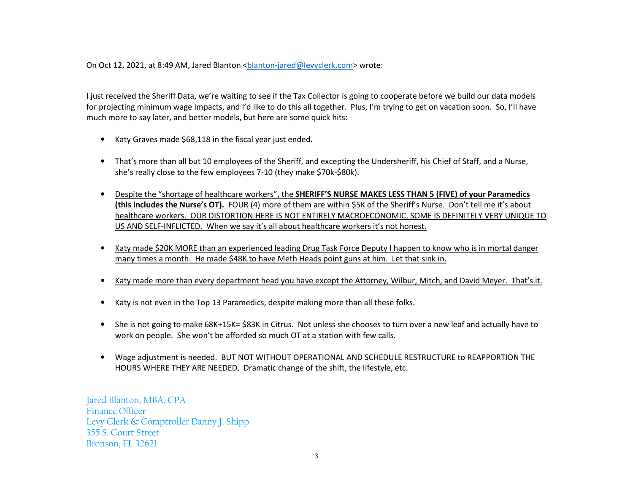On Oct 12, 2021, at 8:49 AM, Jared Blanton <blanton-jared@levyclerk.com> wrote:

I just received the Sheriff Data, we're waiting to see if the Tax Collector is going to cooperate before we build our data models for projecting minimum wage impacts, and I'd like to do this all together. Plus, I'm trying to get on vacation soon. So, I'll have much more to say later, and better models, but here are some quick hits:

- Katy Graves made \$68,118 in the fiscal year just ended.
- That's more than all but 10 employees of the Sheriff, and excepting the Undersheriff, his Chief of Staff, and a Nurse, she's really close to the few employees 7-10 (they make \$70k-\$80k).
- • Despite the "shortage of healthcare workers", the **SHERIFF'S NURSE MAKES LESS THAN 5 (FIVE) of your Paramedics (this includes the Nurse's OT).** FOUR (4) more of them are within \$5K of the Sheriff's Nurse. Don't tell me it's about healthcare workers. OUR DISTORTION HERE IS NOT ENTIRELY MACROECONOMIC, SOME IS DEFINITELY VERY UNIQUE TO US AND SELF-INFLICTED. When we say it's all about healthcare workers it's not honest.
- $\bullet$  Katy made \$20K MORE than an experienced leading Drug Task Force Deputy I happen to know who is in mortal danger many times a month. He made \$48K to have Meth Heads point guns at him. Let that sink in.
- •Katy made more than every department head you have except the Attorney, Wilbur, Mitch, and David Meyer. That's it.
- Katy is not even in the Top 13 Paramedics, despite making more than all these folks.
- • She is not going to make 68K+15K= \$83K in Citrus. Not unless she chooses to turn over a new leaf and actually have to work on people. She won't be afforded so much OT at a station with few calls.
- • Wage adjustment is needed. BUT NOT WITHOUT OPERATIONAL AND SCHEDULE RESTRUCTURE to REAPPORTION THE HOURS WHERE THEY ARE NEEDED. Dramatic change of the shift, the lifestyle, etc.

Jared Blanton, MBA, CPAFinance Officer Levy Clerk & Comptroller Danny J. Shipp355 S. Court StreetBronson, FL 32621